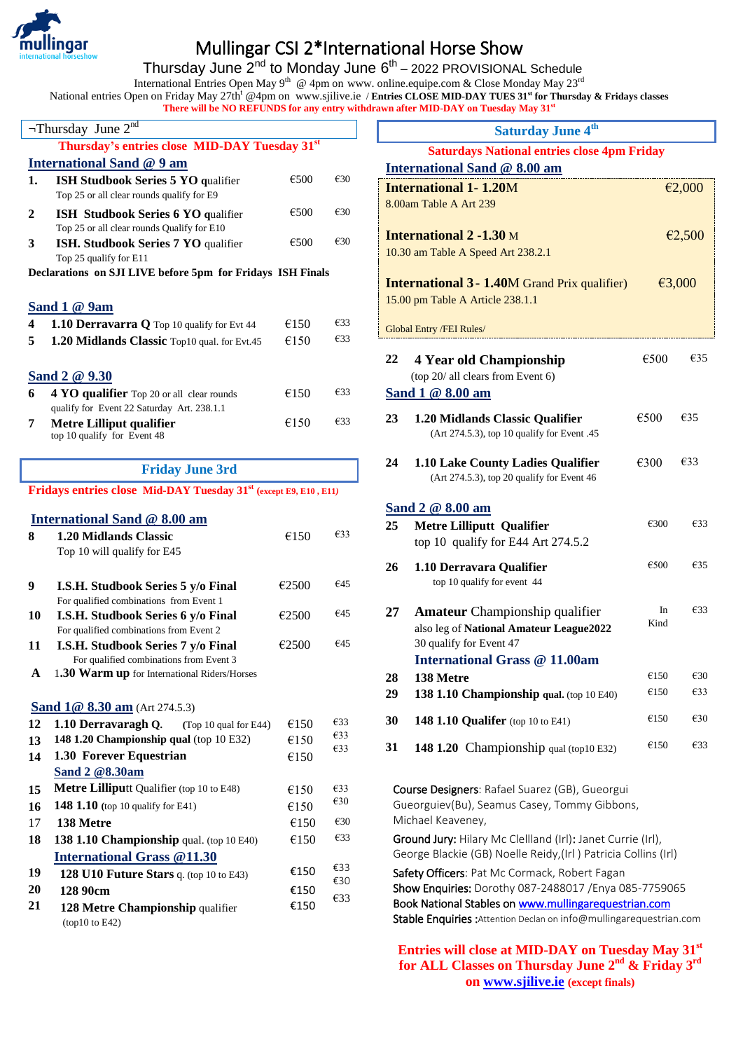

**20 21**

**128 90cm** 

(top10 to E42)

**128 Metre Championship** qualifier

€150 €150

€33

## Mullingar CSI 2\*International Horse Show

Thursday June 2<sup>nd</sup> to Monday June 6<sup>th</sup> – 2022 PROVISIONAL Schedule

International Entries Open May 9<sup>th</sup> @ 4pm on www. online.equipe.com & Close Monday May 23<sup>rd</sup>

National entries Open on Friday May 27th<sup>t</sup> @4pm on www.sjilive.ie / **Entries CLOSE MID-DAY TUES 31 st for Thursday & Fridays classes There will be NO REFUNDS for any entry withdrawn after MID-DAY on Tuesday May 31st** 

|                         | $\neg$ Thursday June $2^{nd}$                                                           |       |               |
|-------------------------|-----------------------------------------------------------------------------------------|-------|---------------|
|                         | Thursday's entries close MID-DAY Tuesday 31 <sup>st</sup>                               |       |               |
|                         |                                                                                         |       |               |
|                         | <b>International Sand @ 9 am</b>                                                        |       |               |
| 1.                      | <b>ISH Studbook Series 5 YO qualifier</b><br>Top 25 or all clear rounds qualify for E9  | €500  | €30           |
| $\mathbf{2}$            | <b>ISH Studbook Series 6 YO qualifier</b><br>Top 25 or all clear rounds Qualify for E10 | €500  | €30           |
| 3                       | ISH. Studbook Series 7 YO qualifier<br>Top 25 qualify for E11                           | €500  | €30           |
|                         | Declarations on SJI LIVE before 5pm for Fridays ISH Finals                              |       |               |
|                         | Sand $1@9$ am                                                                           |       |               |
| $\overline{\mathbf{4}}$ | 1.10 Derravarra Q Top 10 qualify for Evt 44                                             | €150  | €33           |
| 5                       | 1.20 Midlands Classic Top10 qual. for Evt.45                                            | €150  | €33           |
|                         | Sand 2 @ 9.30                                                                           |       |               |
| 6                       | 4 YO qualifier Top 20 or all clear rounds<br>qualify for Event 22 Saturday Art. 238.1.1 | €150  | €33           |
| 7                       | <b>Metre Lilliput qualifier</b><br>top 10 qualify for Event 48                          | €150  | $\epsilon$ 33 |
|                         |                                                                                         |       |               |
|                         | <b>Friday June 3rd</b>                                                                  |       |               |
|                         | Fridays entries close Mid-DAY Tuesday 31 <sup>st</sup> (except E9, E10, E11)            |       |               |
|                         |                                                                                         |       |               |
|                         | <b>International Sand @ 8.00 am</b>                                                     |       |               |
| 8                       | <b>1.20 Midlands Classic</b>                                                            | €150  | €33           |
|                         | Top 10 will qualify for E45                                                             |       |               |
| 9                       | I.S.H. Studbook Series 5 y/o Final                                                      | €2500 | €45           |
|                         | For qualified combinations from Event 1                                                 |       |               |
| 10                      | I.S.H. Studbook Series 6 y/o Final                                                      |       |               |
|                         |                                                                                         | €2500 | €45           |
| 11                      | For qualified combinations from Event 2<br>I.S.H. Studbook Series 7 y/o Final           | €2500 | €45           |
| A                       | For qualified combinations from Event 3<br>1.30 Warm up for International Riders/Horses |       |               |
|                         |                                                                                         |       |               |
|                         | <b>Sand 1@ 8.30 am</b> (Art 274.5.3)                                                    |       |               |
| 12                      | 1.10 Derravaragh Q.<br>(Top 10 qual for E44)                                            | €150  | €33<br>€33    |
| 13                      | 148 1.20 Championship qual (top 10 E32)                                                 | €150  | €33           |
| 14                      | 1.30 Forever Equestrian                                                                 | €150  |               |
|                         | Sand 2 @8.30am                                                                          |       |               |
| 15                      | Metre Lilliputt Qualifier (top 10 to E48)                                               | €150  | €33           |
| 16                      | 148 1.10 (top 10 qualify for E41)                                                       | €150  | €30           |
| 17                      | 138 Metre                                                                               | €150  | €30           |
| 18                      | 138 1.10 Championship qual. (top 10 E40)                                                | €150  | €33           |
| 19                      | <b>International Grass @11.30</b><br>128 U10 Future Stars q. (top 10 to E43)            | €150  | €33           |

|    | <b>Saturday June 4th</b>                                                              |      |               |
|----|---------------------------------------------------------------------------------------|------|---------------|
|    | <b>Saturdays National entries close 4pm Friday</b>                                    |      |               |
|    | International Sand @ 8.00 am                                                          |      |               |
|    | <b>International 1-1.20M</b>                                                          |      | €2,000        |
|    | 8.00am Table A Art 239                                                                |      |               |
|    |                                                                                       |      |               |
|    | <b>International 2 -1.30 M</b><br>10.30 am Table A Speed Art 238.2.1                  |      | €2,500        |
|    |                                                                                       |      |               |
|    | <b>International 3 - 1.40M Grand Prix qualifier)</b>                                  |      | €3,000        |
|    | 15.00 pm Table A Article 238.1.1                                                      |      |               |
|    | <b>Global Entry /FEI Rules/</b>                                                       |      |               |
| 22 |                                                                                       | €500 | €35           |
|    | <b>4 Year old Championship</b><br>(top 20/ all clears from Event 6)                   |      |               |
|    | Sand 1 @ 8.00 am                                                                      |      |               |
|    |                                                                                       |      |               |
| 23 | <b>1.20 Midlands Classic Qualifier</b><br>(Art 274.5.3), top 10 qualify for Event .45 | €500 | €35           |
|    |                                                                                       |      |               |
| 24 | 1.10 Lake County Ladies Qualifier<br>(Art 274.5.3), top 20 qualify for Event 46       | €300 | €33           |
|    | Sand 2 @ 8.00 am                                                                      |      |               |
| 25 | <b>Metre Lilliputt Qualifier</b>                                                      | €300 | €33           |
|    | top 10 qualify for E44 Art 274.5.2                                                    |      |               |
| 26 | 1.10 Derravara Qualifier                                                              | €500 | €35           |
|    | top 10 qualify for event 44                                                           |      |               |
|    |                                                                                       | In   | €33           |
| 27 | <b>Amateur</b> Championship qualifier<br>also leg of National Amateur League2022      | Kind |               |
|    | 30 qualify for Event 47                                                               |      |               |
|    | <b>International Grass @ 11.00am</b>                                                  |      |               |
| 28 | 138 Metre                                                                             | €150 | €30           |
| 29 | 138 1.10 Championship qual. (top 10 E40)                                              | €150 | €33           |
| 30 | <b>148 1.10 Qualifer</b> (top 10 to E41)                                              | €150 | $\epsilon$ 30 |
| 31 | 148 1.20 Championship qual (top10 E32)                                                | €150 | €33           |
|    |                                                                                       |      |               |
|    | Course Designers: Rafael Suarez (GB), Gueorgui                                        |      |               |
|    | Gueorguiev(Bu), Seamus Casey, Tommy Gibbons,<br>Michael Keaveney,                     |      |               |

Ground Jury: Hilary Mc Clellland (Irl): Janet Currie (Irl), George Blackie (GB) Noelle Reidy,(Irl ) Patricia Collins (Irl)

| Safety Officers: Pat Mc Cormack, Robert Fagan                             |
|---------------------------------------------------------------------------|
| Show Enquiries: Dorothy 087-2488017 / Enya 085-7759065                    |
| Book National Stables on www.mullingarequestrian.com                      |
| <b>Stable Enquiries:</b> Attention Declan on info@mullingarequestrian.com |

**Entries will close at MID-DAY on Tuesday May 31st** for ALL Classes on Thursday June 2<sup>nd</sup> & Friday 3<sup>rd</sup> **on [www.sjilive.ie](http://www.sjilive.ie/) (except finals)**